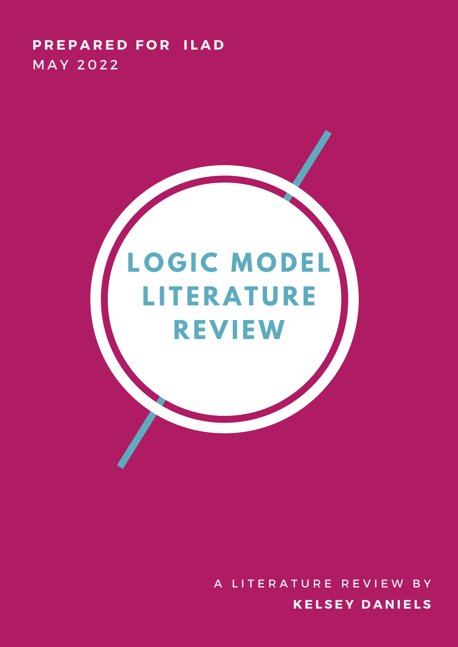### **P R E P A R E D F O R I L A D MAY 2022**

# **L O G IC MO D E L L I T E RAT U R E R EVI EW**

**K E L S E Y D A N I E L S** A LITERATURE REVIEW BY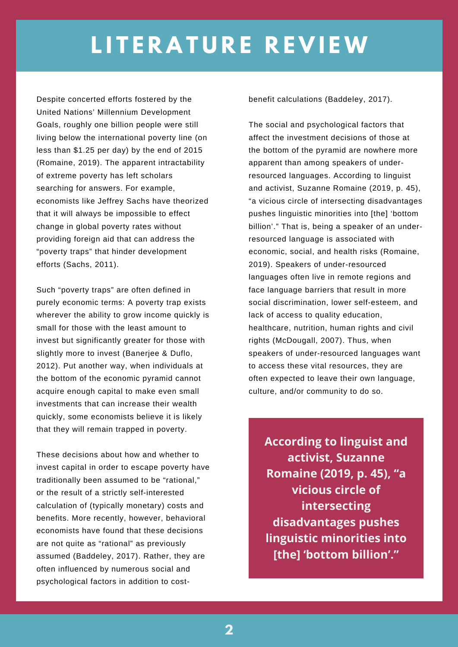Despite concerted efforts fostered by the United Nations' Millennium Development Goals, roughly one billion people were still living below the international poverty line (on less than \$1.25 per day) by the end of 2015 (Romaine, 2019). The apparent intractability of extreme poverty has left scholars searching for answers. For example, economists like Jeffrey Sachs have theorized that it will always be impossible to effect change in global poverty rates without providing foreign aid that can address the "poverty traps" that hinder development efforts (Sachs, 2011).

Such "poverty traps" are often defined in purely economic terms: A poverty trap exists wherever the ability to grow income quickly is small for those with the least amount to invest but significantly greater for those with slightly more to invest (Banerjee & Duflo, 2012). Put another way, when individuals at the bottom of the economic pyramid cannot acquire enough capital to make even small investments that can increase their wealth quickly, some economists believe it is likely that they will remain trapped in poverty.

These decisions about how and whether to invest capital in order to escape poverty have traditionally been assumed to be "rational," or the result of a strictly self-interested calculation of (typically monetary) costs and benefits. More recently, however, behavioral economists have found that these decisions are not quite as "rational" as previously assumed (Baddeley, 2017). Rather, they are often influenced by numerous social and psychological factors in addition to costbenefit calculations (Baddeley, 2017).

**E X E C U T I V E S U M M A R Y** social discrimination, lower self-esteem, and The social and psychological factors that affect the investment decisions of those at the bottom of the pyramid are nowhere more apparent than among speakers of underresourced languages. According to linguist and activist, Suzanne Romaine (2019, p. 45), "a vicious circle of intersecting disadvantages pushes linguistic minorities into [the] 'bottom billion'." That is, being a speaker of an underresourced language is associated with economic, social, and health risks (Romaine, 2019). Speakers of under-resourced languages often live in remote regions and face language barriers that result in more lack of access to quality education, healthcare, nutrition, human rights and civil rights (McDougall, 2007). Thus, when speakers of under-resourced languages want to access these vital resources, they are often expected to leave their own language, culture, and/or community to do so.

> **According to linguist and activist, Suzanne Romaine (2019, p. 45), "a vicious circle of intersecting disadvantages pushes linguistic minorities into [the] 'bottom billion'."**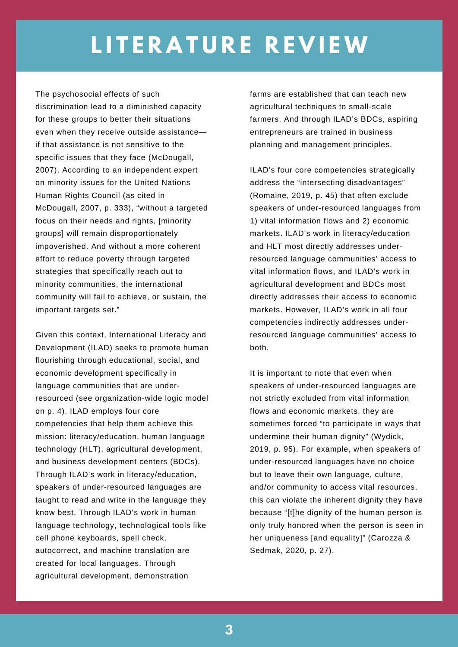The psychosocial effects of such discrimination lead to a diminished capacity for these groups to better their situations even when they receive outside assistance if that assistance is not sensitive to the specific issues that they face (McDougall, 2007). According to an independent expert on minority issues for the United Nations Human Rights Council (as cited in McDougall, 2007, p. 333), "without a targeted focus on their needs and rights, [minority groups] will remain disproportionately impoverished. And without a more coherent effort to reduce poverty through targeted strategies that specifically reach out to minority communities, the international community will fail to achieve, or sustain, the important targets set**.**"

Given this context, International Literacy and Development (ILAD) seeks to promote human flourishing through educational, social, and economic development specifically in language communities that are underresourced (see organization-wide logic model on p. 4). ILAD employs four core competencies that help them achieve this mission: literacy/education, human language technology (HLT), agricultural development, and business development centers (BDCs). Through ILAD's work in literacy/education, speakers of under-resourced languages are taught to read and write in the language they know best. Through ILAD's work in human language technology, technological tools like cell phone keyboards, spell check, autocorrect, and machine translation are created for local languages. Through agricultural development, demonstration

farms are established that can teach new agricultural techniques to small-scale farmers. And through ILAD's BDCs, aspiring entrepreneurs are trained in business planning and management principles.

ILAD's four core competencies strategically address the "intersecting disadvantages" (Romaine, 2019, p. 45) that often exclude speakers of under-resourced languages from 1) vital information flows and 2) economic markets. ILAD's work in literacy/education and HLT most directly addresses underresourced language communities' access to vital information flows, and ILAD's work in agricultural development and BDCs most directly addresses their access to economic markets. However, ILAD's work in all four competencies indirectly addresses underresourced language communities' access to both.

It is important to note that even when speakers of under-resourced languages are not strictly excluded from vital information flows and economic markets, they are sometimes forced "to participate in ways that undermine their human dignity" (Wydick, 2019, p. 95). For example, when speakers of under-resourced languages have no choice but to leave their own language, culture, and/or community to access vital resources, this can violate the inherent dignity they have because "[t]he dignity of the human person is only truly honored when the person is seen in her uniqueness [and equality]" (Carozza & Sedmak, 2020, p. 27).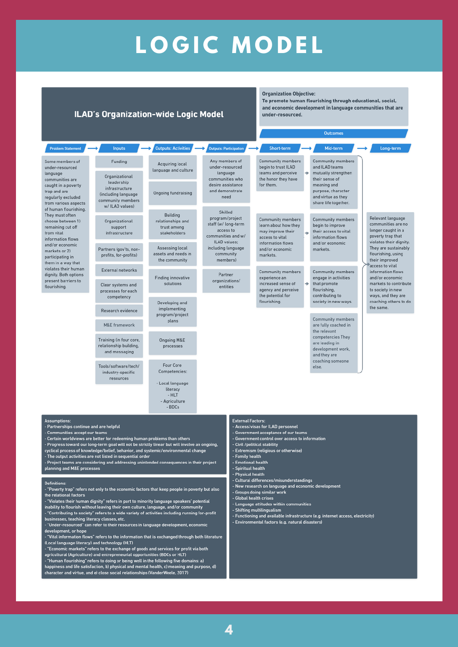### **L O G I C M O D E L**

→

Short-term

 $\rightarrow$  Outputs: Activities  $\rightarrow$  Outputs: Participation  $\rightarrow$ 

#### **ILAD's Organization-wide Logic Model**

Inputs

**Organization Objective:** To promote human flourishing through educational, social, and economic development in language communities that are under-resourced.

Outcomes

Mid-term

Long-term

#### Some m under-re languag commun caught i trap and regularly from var of huma They mu choose b remainin from vita informat and/or markets participa them in violates dignity. present flourish

Problem Statement

| embers of<br>sourced<br>ities are<br>n a poverty<br>are<br>y excluded<br>ious aspects<br>n flourishing.<br>st often<br>etween 1)<br>g cut off<br>۱ŧ<br>ion flows<br>conomic<br>or $2)$<br>iting in<br>a way that<br>their human<br>Both options<br>barriers to<br>ng.                                                                                                                                                                                                                                                                                                                                                                                                                                                                                     | Funding<br>Organizational<br>leadership<br>infrastructure<br>(including language<br>community members                                                                                                                | <b>Acquiring local</b><br>language and culture<br><b>Ongoing fundraising</b>                                                             | Any members of<br>under-resourced<br>language<br>communities who<br>desire assistance<br>and demonstrate<br>need                                    | <b>Community members</b><br>begin to trust ILAD<br>teams and perceive<br>the honor they have<br>for them.                                                                                                                                                                                                                                                                                                                                                                                                                   | ۰      | <b>Community members</b><br>and ILAD teams<br>mutually strengthen<br>their sense of<br>meaning and<br>purpose, character<br>and virtue as they<br>share life together. |                                                                                                                                                                               |                                                          |  |
|-----------------------------------------------------------------------------------------------------------------------------------------------------------------------------------------------------------------------------------------------------------------------------------------------------------------------------------------------------------------------------------------------------------------------------------------------------------------------------------------------------------------------------------------------------------------------------------------------------------------------------------------------------------------------------------------------------------------------------------------------------------|----------------------------------------------------------------------------------------------------------------------------------------------------------------------------------------------------------------------|------------------------------------------------------------------------------------------------------------------------------------------|-----------------------------------------------------------------------------------------------------------------------------------------------------|-----------------------------------------------------------------------------------------------------------------------------------------------------------------------------------------------------------------------------------------------------------------------------------------------------------------------------------------------------------------------------------------------------------------------------------------------------------------------------------------------------------------------------|--------|------------------------------------------------------------------------------------------------------------------------------------------------------------------------|-------------------------------------------------------------------------------------------------------------------------------------------------------------------------------|----------------------------------------------------------|--|
|                                                                                                                                                                                                                                                                                                                                                                                                                                                                                                                                                                                                                                                                                                                                                           | w/ ILAD values)<br>Organizational<br>support<br>infrastructure<br>Partners (gov'ts, non-<br>profits, for-profits)<br>External networks<br>Clear systems and<br>processes for each<br>competency<br>Research evidence | <b>Building</b><br>relationships and<br>trust among<br>stakeholders<br>Assessing local<br>assets and needs in<br>the community           | Skilled<br>program/project<br>staff (w/ long-term<br>access to<br>communities and w/<br>ILAD values;<br>including language<br>community<br>members) | <b>Community members</b><br>learn about how they<br>may improve their<br>access to vital<br>information flows<br>and/or economic<br>markets.                                                                                                                                                                                                                                                                                                                                                                                | ٠<br>۰ | <b>Community members</b><br>begin to improve<br>their access to vital<br>information flows<br>and/or economic<br>markets.                                              | Relevant language<br>communities are no<br>longer caught in a<br>poverty trap that<br>violates their dignity.<br>They are sustainably<br>flourishing, using<br>their improved |                                                          |  |
|                                                                                                                                                                                                                                                                                                                                                                                                                                                                                                                                                                                                                                                                                                                                                           |                                                                                                                                                                                                                      | <b>Finding innovative</b><br>solutions                                                                                                   | Partner<br>organizations/<br>entities                                                                                                               | <b>Community members</b><br>experience an<br>increased sense of<br>agency and perceive<br>the potential for<br>flourishing.                                                                                                                                                                                                                                                                                                                                                                                                 |        | <b>Community members</b><br>engage in activities<br>that promote<br>flourishing,<br>contributing to<br>society in new ways.<br><b>Community members</b>                | access to vital<br>information flows<br>and/or economic<br>markets to contribute<br>to society in new                                                                         |                                                          |  |
|                                                                                                                                                                                                                                                                                                                                                                                                                                                                                                                                                                                                                                                                                                                                                           |                                                                                                                                                                                                                      | Developing and<br>implementing<br>program/project<br>plans<br>Ongoing M&E<br>processes<br>Four Core<br>Competencies:<br>- Local language |                                                                                                                                                     |                                                                                                                                                                                                                                                                                                                                                                                                                                                                                                                             |        |                                                                                                                                                                        |                                                                                                                                                                               | ways, and they are<br>coaching others to do<br>the same. |  |
|                                                                                                                                                                                                                                                                                                                                                                                                                                                                                                                                                                                                                                                                                                                                                           | M&E framework<br>Training (in four core,<br>relationship building,<br>and messaging                                                                                                                                  |                                                                                                                                          |                                                                                                                                                     |                                                                                                                                                                                                                                                                                                                                                                                                                                                                                                                             |        | are fully coached in<br>the relevant<br>competencies They<br>are leading in<br>development work,<br>and they are<br>coaching someone<br>else.                          |                                                                                                                                                                               |                                                          |  |
|                                                                                                                                                                                                                                                                                                                                                                                                                                                                                                                                                                                                                                                                                                                                                           | Tools/software/tech/<br>industry-specific<br>resources                                                                                                                                                               |                                                                                                                                          |                                                                                                                                                     |                                                                                                                                                                                                                                                                                                                                                                                                                                                                                                                             |        |                                                                                                                                                                        |                                                                                                                                                                               |                                                          |  |
|                                                                                                                                                                                                                                                                                                                                                                                                                                                                                                                                                                                                                                                                                                                                                           |                                                                                                                                                                                                                      | literacy<br>- HLT<br>- Agriculture<br>- BDCs                                                                                             |                                                                                                                                                     |                                                                                                                                                                                                                                                                                                                                                                                                                                                                                                                             |        |                                                                                                                                                                        |                                                                                                                                                                               |                                                          |  |
| tions:<br>rships continue and are helpful<br>unities accept our teams<br>worldviews are better for redeeming human problems than others<br>ss toward our long-term goal will not be strictly linear but will involve an ongoing,<br>process of knowledge/belief, behavior, and systemic/environmental change<br>tput activities are not listed in sequential order<br>teams are considering and addressing unintended consequences in their project<br>and M&E processes<br>ns:<br>ty trap" refers not only to the economic factors that keep people in poverty but also<br>ional factors<br>es their human dignity" refers in part to minority language speakers' potential<br>to flourish without leaving their own culture, language, and/or community |                                                                                                                                                                                                                      |                                                                                                                                          |                                                                                                                                                     | <b>External Factors:</b><br>- Access/visas for ILAD personnel<br>- Government acceptance of our teams<br>- Government control over access to information<br>- Civil /political stability<br>- Extremism (religious or otherwise)<br>- Family health<br>- Emotional health<br>- Spiritual health<br>- Physical health<br>- Cultural differences/misunderstandings<br>- New research on language and economic development<br>- Groups doing similar work<br>- Global health crises<br>- Language attitudes within communities |        |                                                                                                                                                                        |                                                                                                                                                                               |                                                          |  |
|                                                                                                                                                                                                                                                                                                                                                                                                                                                                                                                                                                                                                                                                                                                                                           |                                                                                                                                                                                                                      | buting to society" refers to a wide variety of activities including running for-profit                                                   |                                                                                                                                                     | - Shifting multilingualism<br>- Functioning and available infrastructure (e.g. internet access, electricity)                                                                                                                                                                                                                                                                                                                                                                                                                |        |                                                                                                                                                                        |                                                                                                                                                                               |                                                          |  |

- "Contr
- 

- Partne<br>- Partne<br>- Certai ccr<br>Progr<br>cyclica

- The or<br>- Projec<br>plannin

Definit - "Pove the rela<br>Violatinability

- businesses, teaching literacy classes, etc.<br>- "Under-resourced" can refer to their resources in language development, economic<br>development, or hope development, or hope<br>- "Vital information flows" refers to the information that is exchanged through both literature
- 
- 
- Vital information flows refers to the information that is exchanged through both literature.<br>
(Local language literacy) and technology (HLT)<br>
 "Economic markets" refers to the exchange of goods and services for profit v
- 
- Environmental factors (e.g. natural disasters)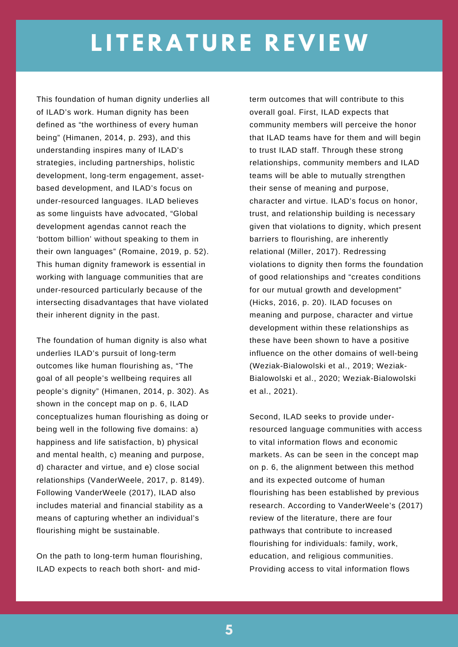This foundation of human dignity underlies all of ILAD's work. Human dignity has been defined as "the worthiness of every human being" (Himanen, 2014, p. 293), and this understanding inspires many of ILAD's strategies, including partnerships, holistic development, long-term engagement, assetbased development, and ILAD's focus on under-resourced languages. ILAD believes as some linguists have advocated, "Global development agendas cannot reach the 'bottom billion' without speaking to them in their own languages" (Romaine, 2019, p. 52). This human dignity framework is essential in working with language communities that are under-resourced particularly because of the intersecting disadvantages that have violated their inherent dignity in the past.

The foundation of human dignity is also what underlies ILAD's pursuit of long-term outcomes like human flourishing as, "The goal of all people's wellbeing requires all people's dignity" (Himanen, 2014, p. 302). As shown in the concept map on p. 6, ILAD conceptualizes human flourishing as doing or being well in the following five domains: a) happiness and life satisfaction, b) physical and mental health, c) meaning and purpose, d) character and virtue, and e) close social relationships (VanderWeele, 2017, p. 8149). Following VanderWeele (2017), ILAD also includes material and financial stability as a means of capturing whether an individual's flourishing might be sustainable.

On the path to long-term human flourishing, ILAD expects to reach both short- and midterm outcomes that will contribute to this overall goal. First, ILAD expects that community members will perceive the honor that ILAD teams have for them and will begin to trust ILAD staff. Through these strong relationships, community members and ILAD teams will be able to mutually strengthen their sense of meaning and purpose, character and virtue. ILAD's focus on honor, trust, and relationship building is necessary given that violations to dignity, which present barriers to flourishing, are inherently relational (Miller, 2017). Redressing violations to dignity then forms the foundation of good relationships and "creates conditions for our mutual growth and development" (Hicks, 2016, p. 20). ILAD focuses on meaning and purpose, character and virtue development within these relationships as these have been shown to have a positive influence on the other domains of well-being (Weziak-Bialowolski et al., 2019; Weziak-Bialowolski et al., 2020; Weziak-Bialowolski et al., 2021).

Second, ILAD seeks to provide underresourced language communities with access to vital information flows and economic markets. As can be seen in the concept map on p. 6, the alignment between this method and its expected outcome of human flourishing has been established by previous research. According to VanderWeele's (2017) review of the literature, there are four pathways that contribute to increased flourishing for individuals: family, work, education, and religious communities. Providing access to vital information flows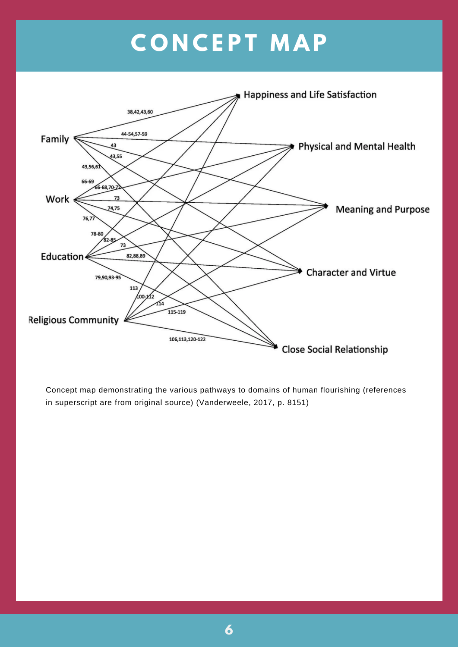## **C O N C E P T M A P**



Concept map demonstrating the various pathways to domains of human flourishing (references in superscript are from original source) (Vanderweele, 2017, p. 8151)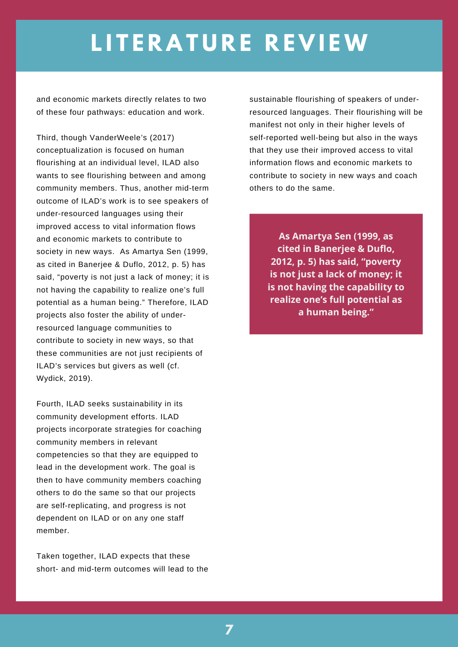and economic markets directly relates to two of these four pathways: education and work.

Third, though VanderWeele's (2017) conceptualization is focused on human flourishing at an individual level, ILAD also wants to see flourishing between and among community members. Thus, another mid-term outcome of ILAD's work is to see speakers of under-resourced languages using their improved access to vital information flows and economic markets to contribute to society in new ways. As Amartya Sen (1999, as cited in Banerjee & Duflo, 2012, p. 5) has said, "poverty is not just a lack of money; it is not having the capability to realize one's full potential as a human being." Therefore, ILAD projects also foster the ability of underresourced language communities to contribute to society in new ways, so that these communities are not just recipients of ILAD's services but givers as well (cf. Wydick, 2019).

Fourth, ILAD seeks sustainability in its community development efforts. ILAD projects incorporate strategies for coaching community members in relevant competencies so that they are equipped to lead in the development work. The goal is then to have community members coaching others to do the same so that our projects are self-replicating, and progress is not dependent on ILAD or on any one staff member.

Taken together, ILAD expects that these short- and mid-term outcomes will lead to the sustainable flourishing of speakers of underresourced languages. Their flourishing will be manifest not only in their higher levels of self-reported well-being but also in the ways that they use their improved access to vital information flows and economic markets to contribute to society in new ways and coach others to do the same.

> **As Amartya Sen (1999, as cited in Banerjee & Duflo, 2012, p. 5) has said, "poverty is not just a lack of money; it is not having the capability to realize one's full potential as a human being."**